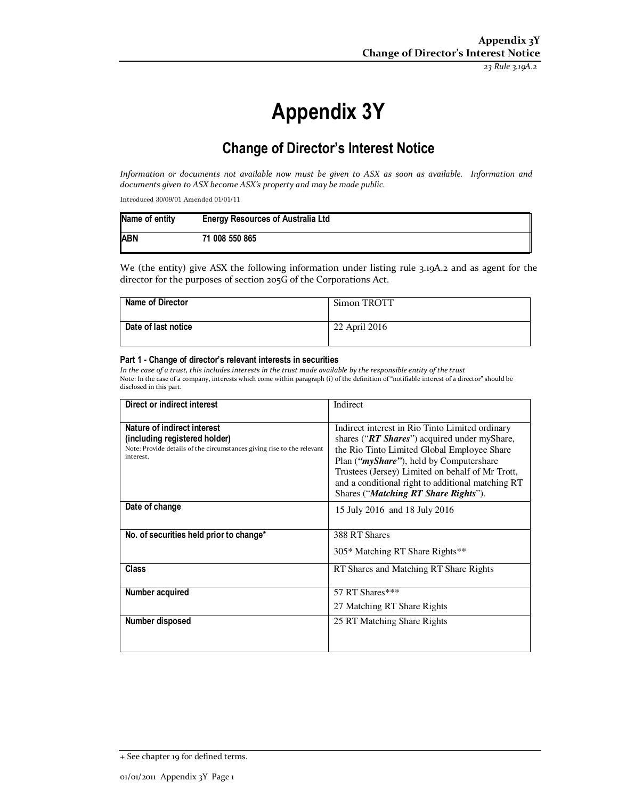*23 Rule 3.19A.2*

# **Appendix 3Y**

# **Change of Director's Interest Notice**

*Information or documents not available now must be given to ASX as soon as available. Information and documents given to ASX become ASX's property and may be made public.* 

Introduced 30/09/01 Amended 01/01/11

| Name of entity | <b>Energy Resources of Australia Ltd</b> |
|----------------|------------------------------------------|
| <b>ABN</b>     | 71 008 550 865                           |

We (the entity) give ASX the following information under listing rule 3.19A.2 and as agent for the director for the purposes of section 205G of the Corporations Act.

| <b>Name of Director</b> | Simon TROTT   |
|-------------------------|---------------|
| Date of last notice     | 22 April 2016 |

#### **Part 1 - Change of director's relevant interests in securities**

In the case of a trust, this includes interests in the trust made available by the responsible entity of the trust Note: In the case of a company, interests which come within paragraph (i) of the definition of "notifiable interest of a director" should be disclosed in this part.

| Direct or indirect interest                                                                                                                         | Indirect                                                                                                                                                                                                                                                                                                                                            |
|-----------------------------------------------------------------------------------------------------------------------------------------------------|-----------------------------------------------------------------------------------------------------------------------------------------------------------------------------------------------------------------------------------------------------------------------------------------------------------------------------------------------------|
| Nature of indirect interest<br>(including registered holder)<br>Note: Provide details of the circumstances giving rise to the relevant<br>interest. | Indirect interest in Rio Tinto Limited ordinary<br>shares ("RT Shares") acquired under myShare,<br>the Rio Tinto Limited Global Employee Share<br>Plan (" <i>myShare"</i> ), held by Computershare<br>Trustees (Jersey) Limited on behalf of Mr Trott,<br>and a conditional right to additional matching RT<br>Shares ("Matching RT Share Rights"). |
| Date of change                                                                                                                                      | 15 July 2016 and 18 July 2016                                                                                                                                                                                                                                                                                                                       |
| No. of securities held prior to change*                                                                                                             | 388 RT Shares<br>305* Matching RT Share Rights**                                                                                                                                                                                                                                                                                                    |
| <b>Class</b>                                                                                                                                        | RT Shares and Matching RT Share Rights                                                                                                                                                                                                                                                                                                              |
| Number acquired                                                                                                                                     | 57 RT Shares***<br>27 Matching RT Share Rights                                                                                                                                                                                                                                                                                                      |
| Number disposed                                                                                                                                     | 25 RT Matching Share Rights                                                                                                                                                                                                                                                                                                                         |

<sup>+</sup> See chapter 19 for defined terms.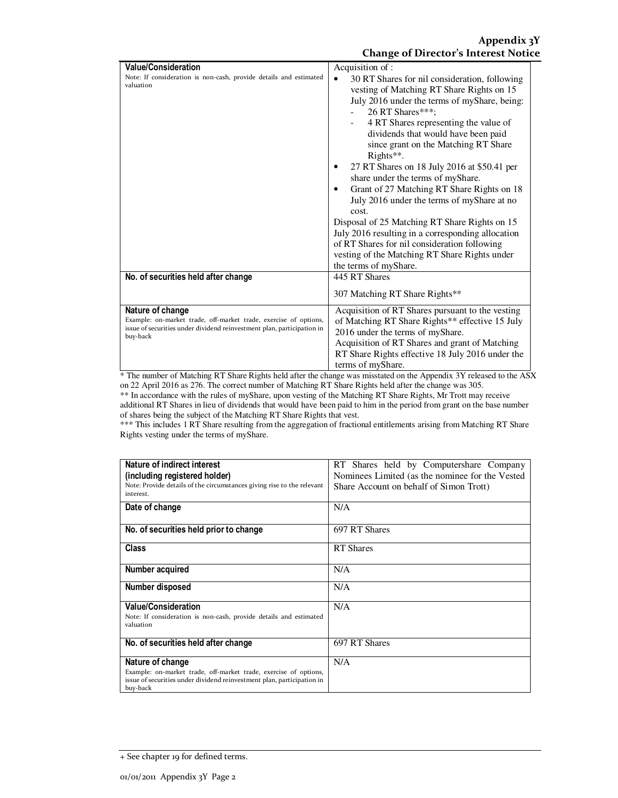| <b>Value/Consideration</b><br>Note: If consideration is non-cash, provide details and estimated<br>valuation                                                               | Acquisition of:<br>30 RT Shares for nil consideration, following<br>$\bullet$<br>vesting of Matching RT Share Rights on 15<br>July 2016 under the terms of myShare, being:<br>26 RT Shares***;<br>4 RT Shares representing the value of<br>dividends that would have been paid<br>since grant on the Matching RT Share<br>Rights**.<br>27 RT Shares on 18 July 2016 at \$50.41 per<br>share under the terms of myShare.<br>Grant of 27 Matching RT Share Rights on 18 |
|----------------------------------------------------------------------------------------------------------------------------------------------------------------------------|-----------------------------------------------------------------------------------------------------------------------------------------------------------------------------------------------------------------------------------------------------------------------------------------------------------------------------------------------------------------------------------------------------------------------------------------------------------------------|
|                                                                                                                                                                            | July 2016 under the terms of myShare at no<br>cost.                                                                                                                                                                                                                                                                                                                                                                                                                   |
|                                                                                                                                                                            | Disposal of 25 Matching RT Share Rights on 15<br>July 2016 resulting in a corresponding allocation<br>of RT Shares for nil consideration following<br>vesting of the Matching RT Share Rights under<br>the terms of myShare.                                                                                                                                                                                                                                          |
| No. of securities held after change                                                                                                                                        | 445 RT Shares                                                                                                                                                                                                                                                                                                                                                                                                                                                         |
|                                                                                                                                                                            | 307 Matching RT Share Rights**                                                                                                                                                                                                                                                                                                                                                                                                                                        |
| Nature of change<br>Example: on-market trade, off-market trade, exercise of options,<br>issue of securities under dividend reinvestment plan, participation in<br>buy-back | Acquisition of RT Shares pursuant to the vesting<br>of Matching RT Share Rights** effective 15 July<br>2016 under the terms of myShare.<br>Acquisition of RT Shares and grant of Matching<br>RT Share Rights effective 18 July 2016 under the<br>terms of myShare.                                                                                                                                                                                                    |

\* The number of Matching RT Share Rights held after the change was misstated on the Appendix 3Y released to the ASX on 22 April 2016 as 276. The correct number of Matching RT Share Rights held after the change was 305.

\*\* In accordance with the rules of myShare, upon vesting of the Matching RT Share Rights, Mr Trott may receive additional RT Shares in lieu of dividends that would have been paid to him in the period from grant on the base number of shares being the subject of the Matching RT Share Rights that vest.

\*\*\* This includes 1 RT Share resulting from the aggregation of fractional entitlements arising from Matching RT Share Rights vesting under the terms of myShare.

| Nature of indirect interest                                                        | RT Shares held by Computershare Company         |
|------------------------------------------------------------------------------------|-------------------------------------------------|
| (including registered holder)                                                      | Nominees Limited (as the nominee for the Vested |
| Note: Provide details of the circumstances giving rise to the relevant             | Share Account on behalf of Simon Trott)         |
| interest.                                                                          |                                                 |
| Date of change                                                                     | N/A                                             |
|                                                                                    |                                                 |
| No. of securities held prior to change                                             | 697 RT Shares                                   |
|                                                                                    |                                                 |
| Class                                                                              | <b>RT</b> Shares                                |
|                                                                                    |                                                 |
| Number acquired                                                                    | N/A                                             |
|                                                                                    |                                                 |
| Number disposed                                                                    | N/A                                             |
| <b>Value/Consideration</b>                                                         | N/A                                             |
| Note: If consideration is non-cash, provide details and estimated                  |                                                 |
| valuation                                                                          |                                                 |
|                                                                                    |                                                 |
| No. of securities held after change                                                | 697 RT Shares                                   |
|                                                                                    |                                                 |
| Nature of change                                                                   | N/A                                             |
| Example: on-market trade, off-market trade, exercise of options,                   |                                                 |
| issue of securities under dividend reinvestment plan, participation in<br>buy-back |                                                 |
|                                                                                    |                                                 |

<sup>+</sup> See chapter 19 for defined terms.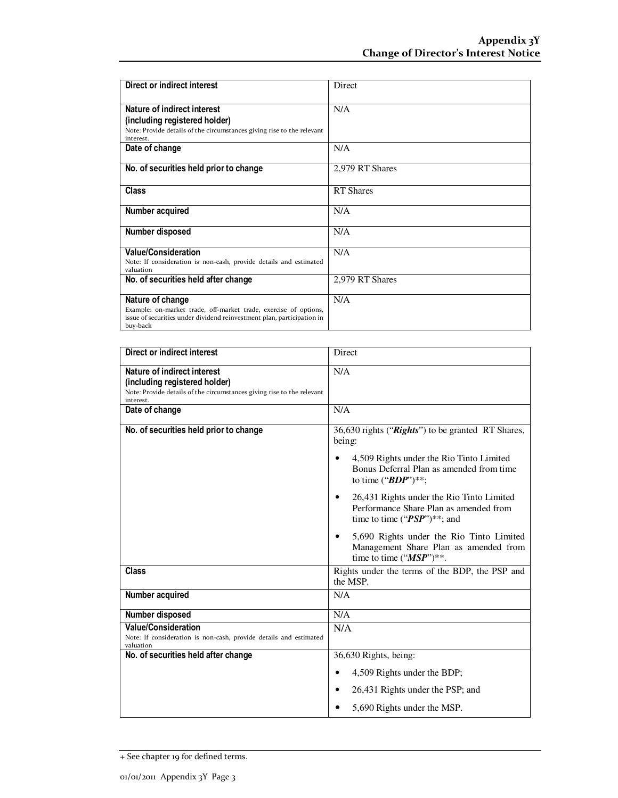| Direct or indirect interest                                                                                                                                                | Direct           |
|----------------------------------------------------------------------------------------------------------------------------------------------------------------------------|------------------|
| Nature of indirect interest<br>(including registered holder)                                                                                                               | N/A              |
| Note: Provide details of the circumstances giving rise to the relevant<br>interest.                                                                                        |                  |
| Date of change                                                                                                                                                             | N/A              |
| No. of securities held prior to change                                                                                                                                     | 2,979 RT Shares  |
| <b>Class</b>                                                                                                                                                               | <b>RT</b> Shares |
| Number acquired                                                                                                                                                            | N/A              |
| Number disposed                                                                                                                                                            | N/A              |
| <b>Value/Consideration</b><br>Note: If consideration is non-cash, provide details and estimated<br>valuation                                                               | N/A              |
| No. of securities held after change                                                                                                                                        | 2,979 RT Shares  |
| Nature of change<br>Example: on-market trade, off-market trade, exercise of options,<br>issue of securities under dividend reinvestment plan, participation in<br>buy-back | N/A              |

| Direct or indirect interest                                                                                                                         | Direct                                                                                                                 |
|-----------------------------------------------------------------------------------------------------------------------------------------------------|------------------------------------------------------------------------------------------------------------------------|
| Nature of indirect interest<br>(including registered holder)<br>Note: Provide details of the circumstances giving rise to the relevant<br>interest. | N/A                                                                                                                    |
| Date of change                                                                                                                                      | N/A                                                                                                                    |
| No. of securities held prior to change                                                                                                              | 36,630 rights ("Rights") to be granted RT Shares,<br>being:                                                            |
|                                                                                                                                                     | 4,509 Rights under the Rio Tinto Limited<br>Bonus Deferral Plan as amended from time<br>to time (" $BDP$ ")**;         |
|                                                                                                                                                     | 26,431 Rights under the Rio Tinto Limited<br>Performance Share Plan as amended from<br>time to time (" $PSP$ ")**; and |
|                                                                                                                                                     | 5,690 Rights under the Rio Tinto Limited<br>Management Share Plan as amended from<br>time to time (" $MSP$ ")**.       |
| <b>Class</b>                                                                                                                                        | Rights under the terms of the BDP, the PSP and<br>the MSP.                                                             |
| Number acquired                                                                                                                                     | N/A                                                                                                                    |
| Number disposed                                                                                                                                     | N/A                                                                                                                    |
| <b>Value/Consideration</b><br>Note: If consideration is non-cash, provide details and estimated<br>valuation                                        | N/A                                                                                                                    |
| No. of securities held after change                                                                                                                 | 36,630 Rights, being:                                                                                                  |
|                                                                                                                                                     | 4,509 Rights under the BDP;                                                                                            |
|                                                                                                                                                     | 26,431 Rights under the PSP; and                                                                                       |
|                                                                                                                                                     | 5,690 Rights under the MSP.                                                                                            |

<sup>+</sup> See chapter 19 for defined terms.